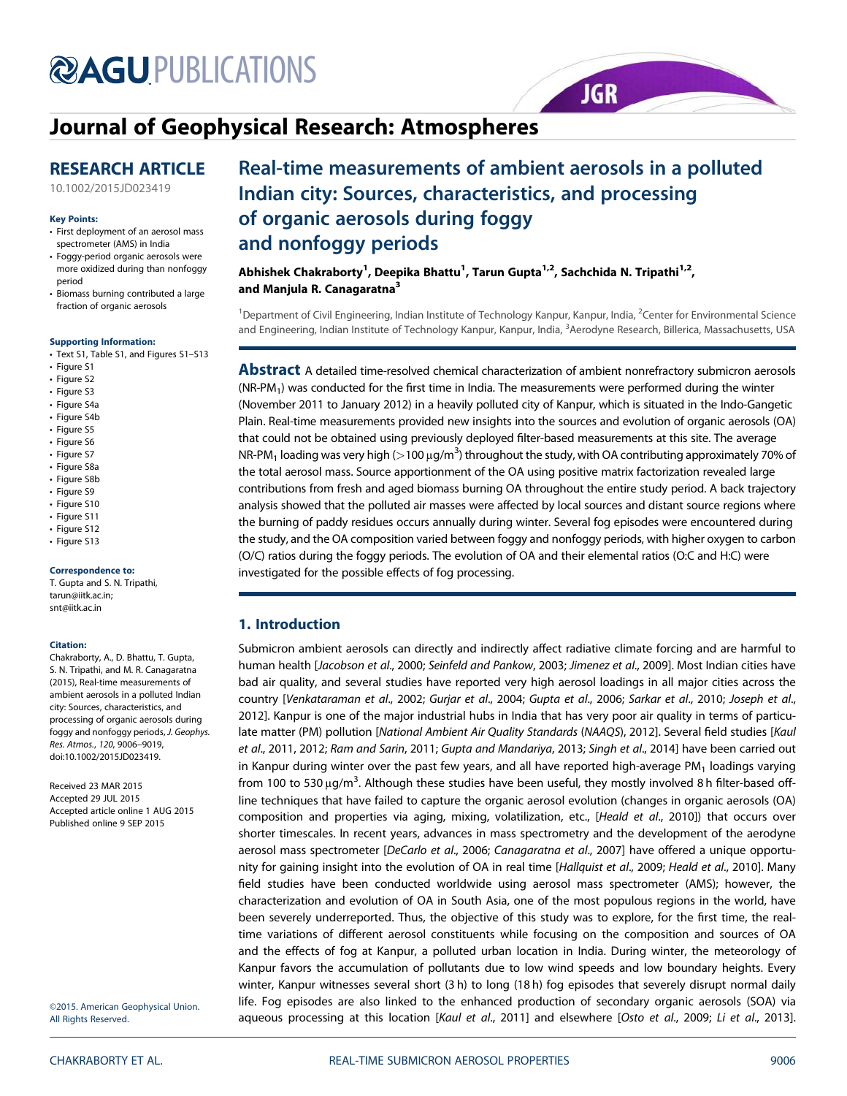# **@AGUPUBLICATIONS**

## Journal of Geophysical Research: Atmospheres

## RESEARCH ARTICLE

10.1002/2015JD023419

#### Key Points:

- First deployment of an aerosol mass spectrometer (AMS) in India
- Foggy-period organic aerosols were more oxidized during than nonfoggy period
- Biomass burning contributed a large fraction of organic aerosols

#### Supporting Information:

- Text S1, Table S1, and Figures S1–S13
- Figure S1
- Figure S2
- Figure S3
- Figure S4a
- Figure S4b
- Figure S5
- Figure S6
- Figure S7
- Figure S8a
- Figure S8b
- Figure S9
- Figure S10
- Figure S11
- Figure S12
- Figure S13

#### Correspondence to:

T. Gupta and S. N. Tripathi, tarun@iitk.ac.in; snt@iitk.ac.in

#### Citation:

Chakraborty, A., D. Bhattu, T. Gupta, S. N. Tripathi, and M. R. Canagaratna (2015), Real-time measurements of ambient aerosols in a polluted Indian city: Sources, characteristics, and processing of organic aerosols during foggy and nonfoggy periods, *J. Geophys. Res. Atmos.*, *120*, 9006–9019, doi:10.1002/2015JD023419.

Received 23 MAR 2015 Accepted 29 JUL 2015 Accepted article online 1 AUG 2015 Published online 9 SEP 2015

©2015. American Geophysical Union. All Rights Reserved.

# Real-time measurements of ambient aerosols in a polluted Indian city: Sources, characteristics, and processing of organic aerosols during foggy and nonfoggy periods

**JGR** 

Abhishek Chakraborty<sup>1</sup>, Deepika Bhattu<sup>1</sup>, Tarun Gupta<sup>1,2</sup>, Sachchida N. Tripathi<sup>1,2</sup>, and Manjula R. Canagaratna<sup>3</sup>

<sup>1</sup>Department of Civil Engineering, Indian Institute of Technology Kanpur, Kanpur, India, <sup>2</sup>Center for Environmental Science and Engineering, Indian Institute of Technology Kanpur, Kanpur, India, <sup>3</sup>Aerodyne Research, Billerica, Massachusetts, USA

**Abstract** A detailed time-resolved chemical characterization of ambient nonrefractory submicron aerosols  $(NR-PM<sub>1</sub>)$  was conducted for the first time in India. The measurements were performed during the winter (November 2011 to January 2012) in a heavily polluted city of Kanpur, which is situated in the Indo-Gangetic Plain. Real-time measurements provided new insights into the sources and evolution of organic aerosols (OA) that could not be obtained using previously deployed filter-based measurements at this site. The average NR-PM<sub>1</sub> loading was very high (>100 μg/m<sup>3</sup>) throughout the study, with OA contributing approximately 70% of the total aerosol mass. Source apportionment of the OA using positive matrix factorization revealed large contributions from fresh and aged biomass burning OA throughout the entire study period. A back trajectory analysis showed that the polluted air masses were affected by local sources and distant source regions where the burning of paddy residues occurs annually during winter. Several fog episodes were encountered during the study, and the OA composition varied between foggy and nonfoggy periods, with higher oxygen to carbon (O/C) ratios during the foggy periods. The evolution of OA and their elemental ratios (O:C and H:C) were investigated for the possible effects of fog processing.

### 1. Introduction

Submicron ambient aerosols can directly and indirectly affect radiative climate forcing and are harmful to human health [*Jacobson et al*., 2000; *Seinfeld and Pankow*, 2003; *Jimenez et al*., 2009]. Most Indian cities have bad air quality, and several studies have reported very high aerosol loadings in all major cities across the country [*Venkataraman et al*., 2002; *Gurjar et al*., 2004; *Gupta et al*., 2006; *Sarkar et al*., 2010; *Joseph et al*., 2012]. Kanpur is one of the major industrial hubs in India that has very poor air quality in terms of particulate matter (PM) pollution [*National Ambient Air Quality Standards* (*NAAQS*), 2012]. Several field studies [*Kaul et al*., 2011, 2012; *Ram and Sarin*, 2011; *Gupta and Mandariya*, 2013; *Singh et al*., 2014] have been carried out in Kanpur during winter over the past few years, and all have reported high-average PM<sub>1</sub> loadings varying from 100 to 530  $\mu$ g/m $^3$ . Although these studies have been useful, they mostly involved 8 h filter-based offline techniques that have failed to capture the organic aerosol evolution (changes in organic aerosols (OA) composition and properties via aging, mixing, volatilization, etc., [*Heald et al*., 2010]) that occurs over shorter timescales. In recent years, advances in mass spectrometry and the development of the aerodyne aerosol mass spectrometer [*DeCarlo et al*., 2006; *Canagaratna et al*., 2007] have offered a unique opportunity for gaining insight into the evolution of OA in real time [*Hallquist et al*., 2009; *Heald et al*., 2010]. Many field studies have been conducted worldwide using aerosol mass spectrometer (AMS); however, the characterization and evolution of OA in South Asia, one of the most populous regions in the world, have been severely underreported. Thus, the objective of this study was to explore, for the first time, the realtime variations of different aerosol constituents while focusing on the composition and sources of OA and the effects of fog at Kanpur, a polluted urban location in India. During winter, the meteorology of Kanpur favors the accumulation of pollutants due to low wind speeds and low boundary heights. Every winter, Kanpur witnesses several short (3 h) to long (18 h) fog episodes that severely disrupt normal daily life. Fog episodes are also linked to the enhanced production of secondary organic aerosols (SOA) via aqueous processing at this location [*Kaul et al*., 2011] and elsewhere [*Osto et al*., 2009; *Li et al*., 2013].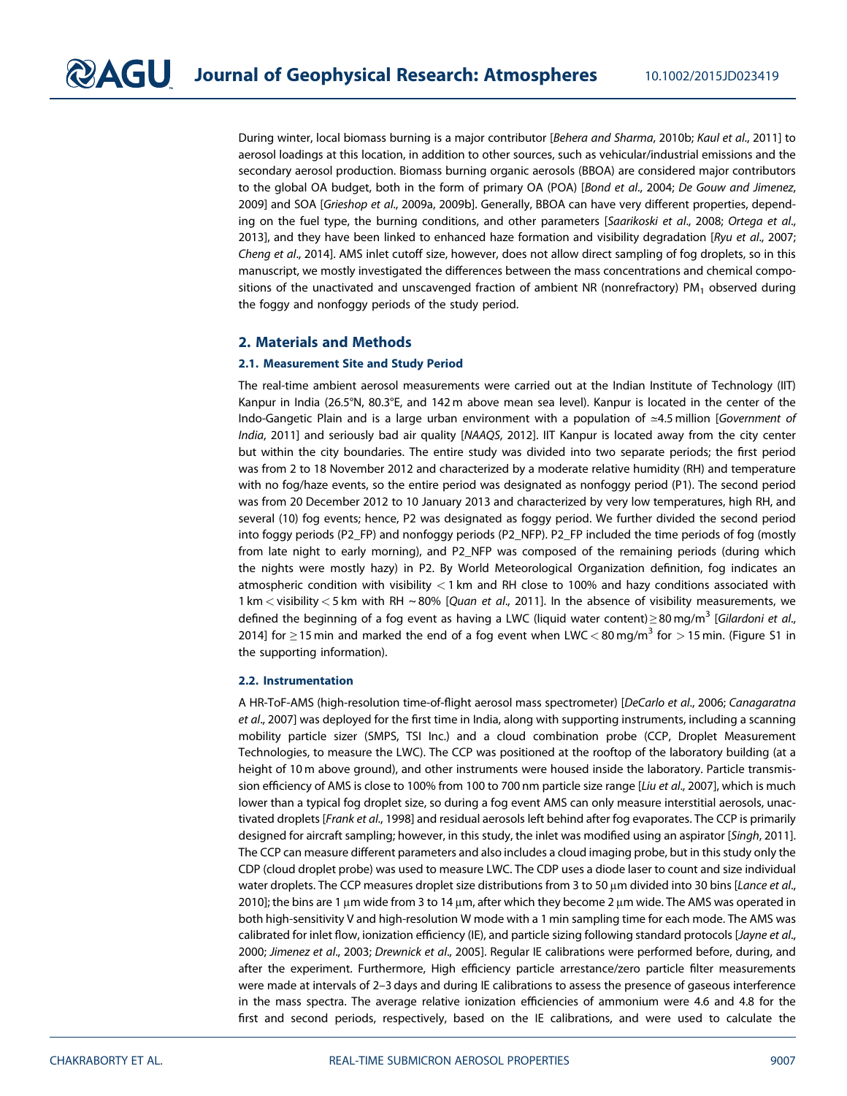During winter, local biomass burning is a major contributor [*Behera and Sharma*, 2010b; *Kaul et al*., 2011] to aerosol loadings at this location, in addition to other sources, such as vehicular/industrial emissions and the secondary aerosol production. Biomass burning organic aerosols (BBOA) are considered major contributors to the global OA budget, both in the form of primary OA (POA) [*Bond et al*., 2004; *De Gouw and Jimenez*, 2009] and SOA [*Grieshop et al*., 2009a, 2009b]. Generally, BBOA can have very different properties, depending on the fuel type, the burning conditions, and other parameters [*Saarikoski et al*., 2008; *Ortega et al*., 2013], and they have been linked to enhanced haze formation and visibility degradation [*Ryu et al*., 2007; *Cheng et al*., 2014]. AMS inlet cutoff size, however, does not allow direct sampling of fog droplets, so in this manuscript, we mostly investigated the differences between the mass concentrations and chemical compositions of the unactivated and unscavenged fraction of ambient NR (nonrefractory) PM<sub>1</sub> observed during the foggy and nonfoggy periods of the study period.

#### 2. Materials and Methods

#### 2.1. Measurement Site and Study Period

The real-time ambient aerosol measurements were carried out at the Indian Institute of Technology (IIT) Kanpur in India (26.5°N, 80.3°E, and 142 m above mean sea level). Kanpur is located in the center of the Indo-Gangetic Plain and is a large urban environment with a population of ≃4.5 million [*Government of India*, 2011] and seriously bad air quality [*NAAQS*, 2012]. IIT Kanpur is located away from the city center but within the city boundaries. The entire study was divided into two separate periods; the first period was from 2 to 18 November 2012 and characterized by a moderate relative humidity (RH) and temperature with no fog/haze events, so the entire period was designated as nonfoggy period (P1). The second period was from 20 December 2012 to 10 January 2013 and characterized by very low temperatures, high RH, and several (10) fog events; hence, P2 was designated as foggy period. We further divided the second period into foggy periods (P2\_FP) and nonfoggy periods (P2\_NFP). P2\_FP included the time periods of fog (mostly from late night to early morning), and P2\_NFP was composed of the remaining periods (during which the nights were mostly hazy) in P2. By World Meteorological Organization definition, fog indicates an atmospheric condition with visibility < 1 km and RH close to 100% and hazy conditions associated with 1 km < visibility < 5 km with RH ~ 80% [*Quan et al*., 2011]. In the absence of visibility measurements, we defined the beginning of a fog event as having a LWC (liquid water content)≥80 mg/m<sup>3</sup> [Gilardoni et al., 2014] for  $\geq$  15 min and marked the end of a fog event when LWC  $<$  80 mg/m $^3$  for  $>$  15 min. (Figure S1 in the supporting information).

#### 2.2. Instrumentation

A HR-ToF-AMS (high-resolution time-of-flight aerosol mass spectrometer) [*DeCarlo et al*., 2006; *Canagaratna et al*., 2007] was deployed for the first time in India, along with supporting instruments, including a scanning mobility particle sizer (SMPS, TSI Inc.) and a cloud combination probe (CCP, Droplet Measurement Technologies, to measure the LWC). The CCP was positioned at the rooftop of the laboratory building (at a height of 10 m above ground), and other instruments were housed inside the laboratory. Particle transmission efficiency of AMS is close to 100% from 100 to 700 nm particle size range [*Liu et al*., 2007], which is much lower than a typical fog droplet size, so during a fog event AMS can only measure interstitial aerosols, unactivated droplets [*Frank et al*., 1998] and residual aerosols left behind after fog evaporates. The CCP is primarily designed for aircraft sampling; however, in this study, the inlet was modified using an aspirator [*Singh*, 2011]. The CCP can measure different parameters and also includes a cloud imaging probe, but in this study only the CDP (cloud droplet probe) was used to measure LWC. The CDP uses a diode laser to count and size individual water droplets. The CCP measures droplet size distributions from 3 to 50 μm divided into 30 bins [*Lance et al*., 2010]; the bins are 1 μm wide from 3 to 14 μm, after which they become 2 μm wide. The AMS was operated in both high-sensitivity V and high-resolution W mode with a 1 min sampling time for each mode. The AMS was calibrated for inlet flow, ionization efficiency (IE), and particle sizing following standard protocols [*Jayne et al*., 2000; *Jimenez et al*., 2003; *Drewnick et al*., 2005]. Regular IE calibrations were performed before, during, and after the experiment. Furthermore, High efficiency particle arrestance/zero particle filter measurements were made at intervals of 2–3 days and during IE calibrations to assess the presence of gaseous interference in the mass spectra. The average relative ionization efficiencies of ammonium were 4.6 and 4.8 for the first and second periods, respectively, based on the IE calibrations, and were used to calculate the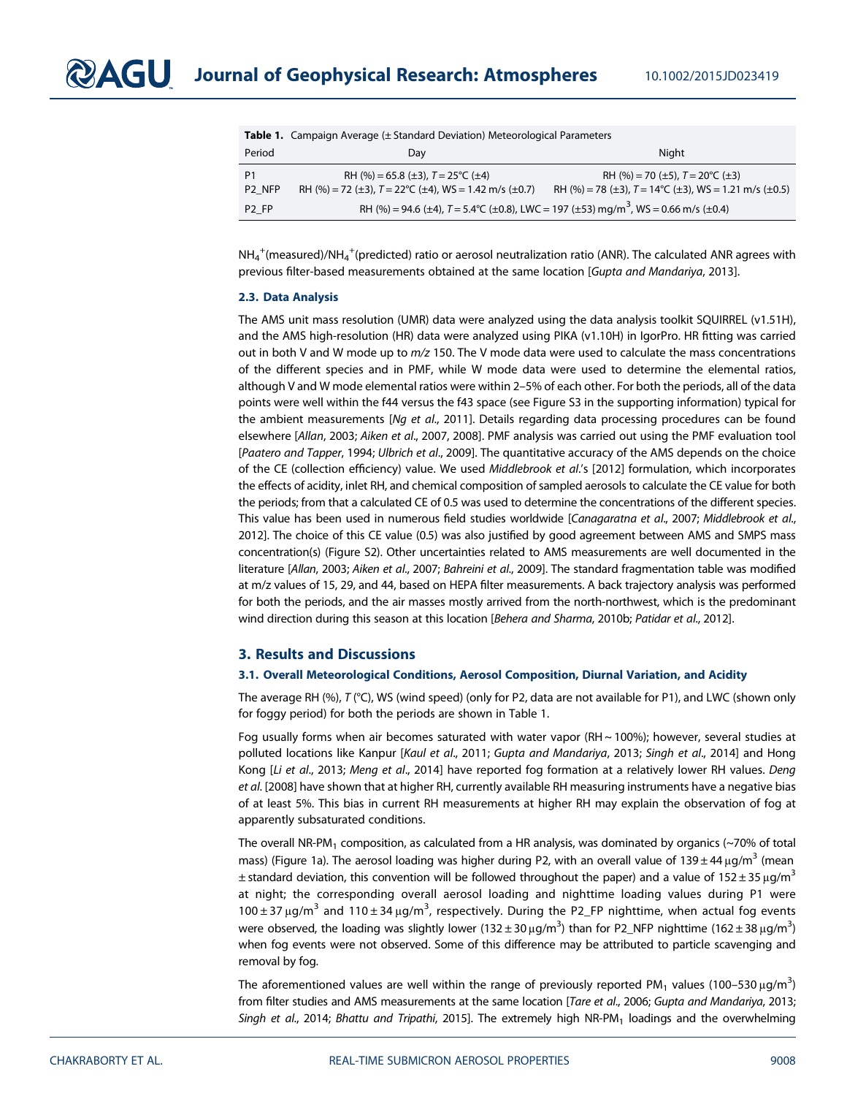| <b>Table 1:</b> Campaign Average (2 Standard Deviation) Meteorological Farameters |                                                                                                        |                                                                                                             |
|-----------------------------------------------------------------------------------|--------------------------------------------------------------------------------------------------------|-------------------------------------------------------------------------------------------------------------|
| Period                                                                            | Day                                                                                                    | Night                                                                                                       |
| P1<br>P <sub>2</sub> NFP                                                          | RH (%) = 65.8 (±3), $T = 25^{\circ}C$ (±4)<br>RH (%) = 72 (±3), $T = 22$ °C (±4), WS = 1.42 m/s (±0.7) | RH (%) = 70 (±5), $T = 20^{\circ}$ C (±3)<br>RH (%) = 78 (±3), $T = 14^{\circ}C$ (±3), WS = 1.21 m/s (±0.5) |
| P <sub>2</sub> FP                                                                 | RH (%) = 94.6 (±4), $T = 5.4$ °C (±0.8), LWC = 197 (±53) mg/m <sup>3</sup> , WS = 0.66 m/s (±0.4)      |                                                                                                             |

Table 1. Campaign Average (± Standard Deviation) Meteorological Parameters

 $NH_4^+$ (measured)/NH $_4^+$ (predicted) ratio or aerosol neutralization ratio (ANR). The calculated ANR agrees with previous filter-based measurements obtained at the same location [*Gupta and Mandariya*, 2013].

#### 2.3. Data Analysis

The AMS unit mass resolution (UMR) data were analyzed using the data analysis toolkit SQUIRREL (v1.51H), and the AMS high-resolution (HR) data were analyzed using PIKA (v1.10H) in IgorPro. HR fitting was carried out in both V and W mode up to *m/z* 150. The V mode data were used to calculate the mass concentrations of the different species and in PMF, while W mode data were used to determine the elemental ratios, although V and W mode elemental ratios were within 2–5% of each other. For both the periods, all of the data points were well within the f44 versus the f43 space (see Figure S3 in the supporting information) typical for the ambient measurements [*Ng et al*., 2011]. Details regarding data processing procedures can be found elsewhere [*Allan*, 2003; *Aiken et al*., 2007, 2008]. PMF analysis was carried out using the PMF evaluation tool [*Paatero and Tapper*, 1994; *Ulbrich et al*., 2009]. The quantitative accuracy of the AMS depends on the choice of the CE (collection efficiency) value. We used *Middlebrook et al*.'s [2012] formulation, which incorporates the effects of acidity, inlet RH, and chemical composition of sampled aerosols to calculate the CE value for both the periods; from that a calculated CE of 0.5 was used to determine the concentrations of the different species. This value has been used in numerous field studies worldwide [*Canagaratna et al*., 2007; *Middlebrook et al*., 2012]. The choice of this CE value (0.5) was also justified by good agreement between AMS and SMPS mass concentration(s) (Figure S2). Other uncertainties related to AMS measurements are well documented in the literature [*Allan*, 2003; *Aiken et al*., 2007; *Bahreini et al*., 2009]. The standard fragmentation table was modified at m/z values of 15, 29, and 44, based on HEPA filter measurements. A back trajectory analysis was performed for both the periods, and the air masses mostly arrived from the north-northwest, which is the predominant wind direction during this season at this location [*Behera and Sharma*, 2010b; *Patidar et al*., 2012].

#### 3. Results and Discussions

#### 3.1. Overall Meteorological Conditions, Aerosol Composition, Diurnal Variation, and Acidity

The average RH (%), *T* (°C), WS (wind speed) (only for P2, data are not available for P1), and LWC (shown only for foggy period) for both the periods are shown in Table 1.

Fog usually forms when air becomes saturated with water vapor (RH ~ 100%); however, several studies at polluted locations like Kanpur [*Kaul et al*., 2011; *Gupta and Mandariya*, 2013; *Singh et al*., 2014] and Hong Kong [*Li et al*., 2013; *Meng et al*., 2014] have reported fog formation at a relatively lower RH values. *Deng et al*. [2008] have shown that at higher RH, currently available RH measuring instruments have a negative bias of at least 5%. This bias in current RH measurements at higher RH may explain the observation of fog at apparently subsaturated conditions.

The overall NR-PM<sub>1</sub> composition, as calculated from a HR analysis, was dominated by organics ( $\sim$ 70% of total mass) (Figure 1a). The aerosol loading was higher during P2, with an overall value of 139 ± 44  $\mu$ g/m<sup>3</sup> (mean  $\pm$  standard deviation, this convention will be followed throughout the paper) and a value of 152  $\pm$  35 µg/m<sup>3</sup> at night; the corresponding overall aerosol loading and nighttime loading values during P1 were  $100 \pm 37$  μg/m<sup>3</sup> and  $110 \pm 34$  μg/m<sup>3</sup>, respectively. During the P2\_FP nighttime, when actual fog events were observed, the loading was slightly lower (132  $\pm$  30  $\mu$ g/m<sup>3</sup>) than for P2\_NFP nighttime (162  $\pm$  38  $\mu$ g/m<sup>3</sup>) when fog events were not observed. Some of this difference may be attributed to particle scavenging and removal by fog.

The aforementioned values are well within the range of previously reported PM<sub>1</sub> values (100–530  $\mu$ g/m<sup>3</sup>) from filter studies and AMS measurements at the same location [*Tare et al*., 2006; *Gupta and Mandariya*, 2013; Singh et al., 2014; *Bhattu and Tripathi*, 2015]. The extremely high NR-PM<sub>1</sub> loadings and the overwhelming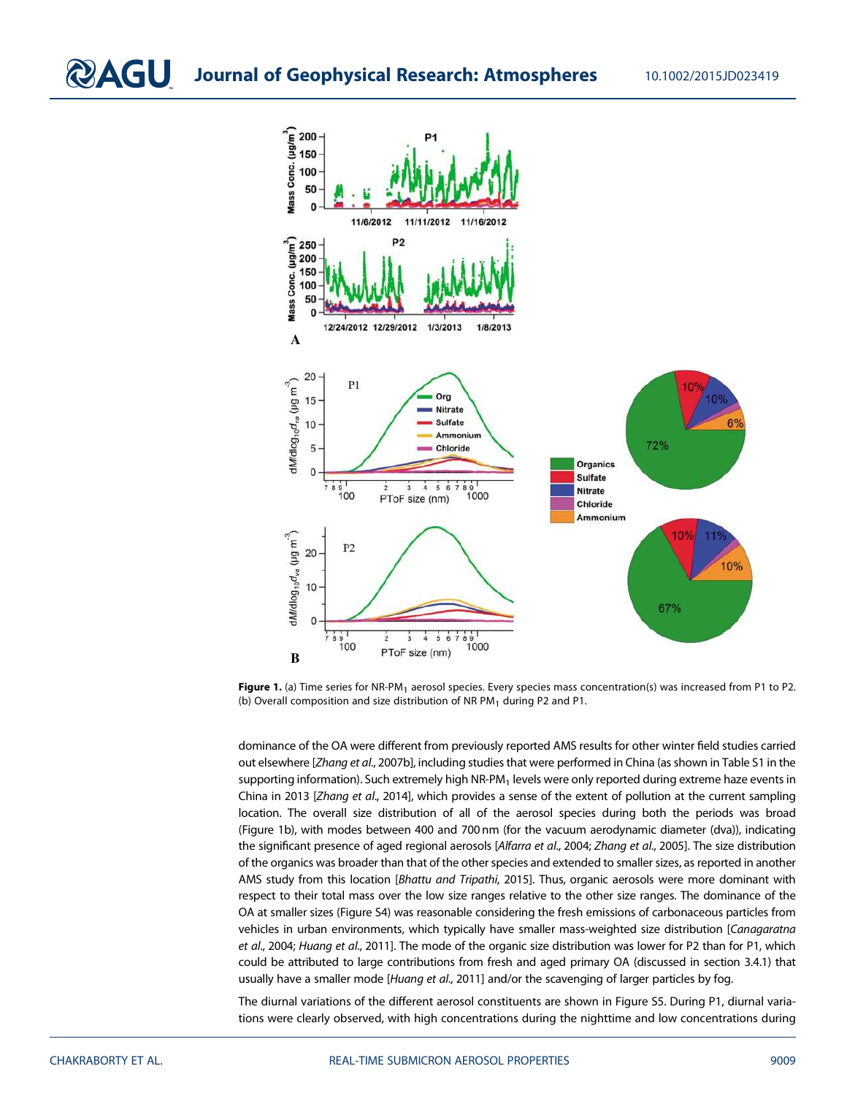

Figure 1. (a) Time series for NR-PM<sub>1</sub> aerosol species. Every species mass concentration(s) was increased from P1 to P2. (b) Overall composition and size distribution of NR PM<sub>1</sub> during P2 and P1.

dominance of the OA were different from previously reported AMS results for other winter field studies carried out elsewhere [*Zhang et al*., 2007b], including studies that were performed in China (as shown in Table S1 in the supporting information). Such extremely high NR-PM<sub>1</sub> levels were only reported during extreme haze events in China in 2013 [*Zhang et al*., 2014], which provides a sense of the extent of pollution at the current sampling location. The overall size distribution of all of the aerosol species during both the periods was broad (Figure 1b), with modes between 400 and 700 nm (for the vacuum aerodynamic diameter (dva)), indicating the significant presence of aged regional aerosols [*Alfarra et al*., 2004; *Zhang et al*., 2005]. The size distribution of the organics was broader than that of the other species and extended to smaller sizes, as reported in another AMS study from this location [*Bhattu and Tripathi*, 2015]. Thus, organic aerosols were more dominant with respect to their total mass over the low size ranges relative to the other size ranges. The dominance of the OA at smaller sizes (Figure S4) was reasonable considering the fresh emissions of carbonaceous particles from vehicles in urban environments, which typically have smaller mass-weighted size distribution [*Canagaratna et al*., 2004; *Huang et al*., 2011]. The mode of the organic size distribution was lower for P2 than for P1, which could be attributed to large contributions from fresh and aged primary OA (discussed in section 3.4.1) that usually have a smaller mode [*Huang et al*., 2011] and/or the scavenging of larger particles by fog.

The diurnal variations of the different aerosol constituents are shown in Figure S5. During P1, diurnal variations were clearly observed, with high concentrations during the nighttime and low concentrations during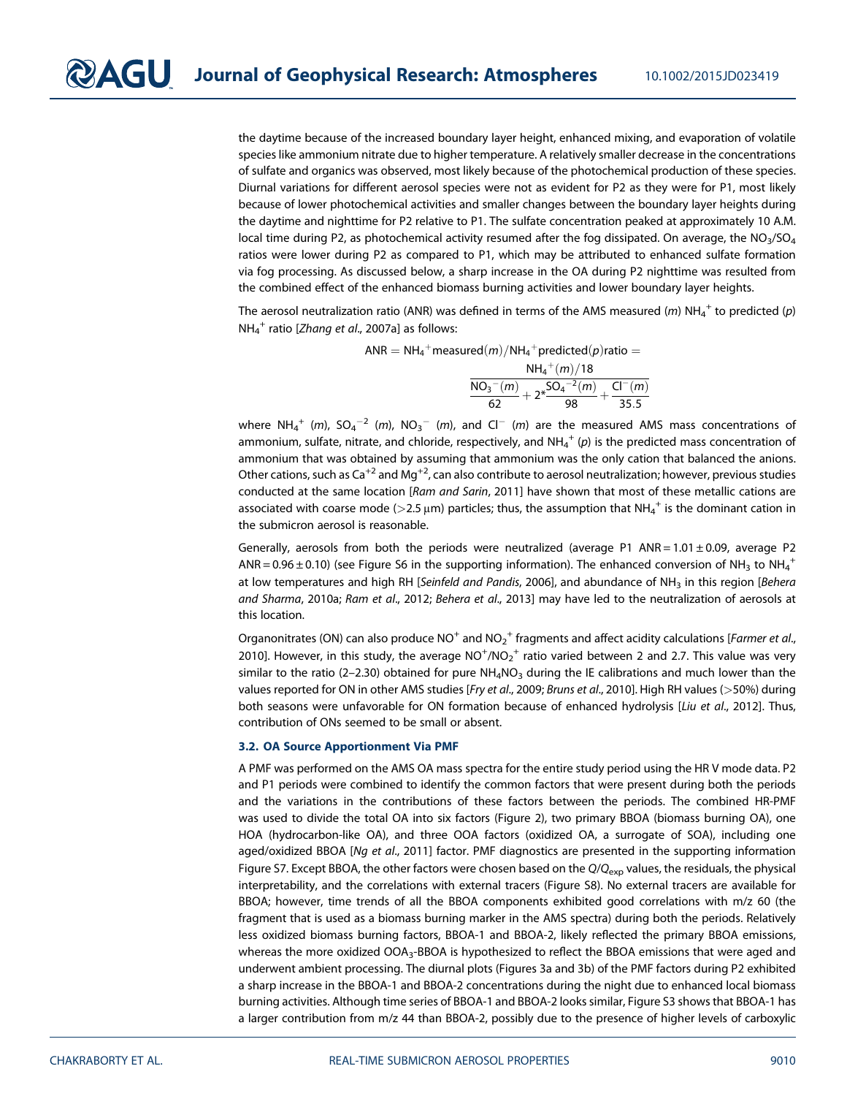the daytime because of the increased boundary layer height, enhanced mixing, and evaporation of volatile species like ammonium nitrate due to higher temperature. A relatively smaller decrease in the concentrations of sulfate and organics was observed, most likely because of the photochemical production of these species. Diurnal variations for different aerosol species were not as evident for P2 as they were for P1, most likely because of lower photochemical activities and smaller changes between the boundary layer heights during the daytime and nighttime for P2 relative to P1. The sulfate concentration peaked at approximately 10 A.M. local time during P2, as photochemical activity resumed after the fog dissipated. On average, the  $NO<sub>3</sub>/SO<sub>4</sub>$ ratios were lower during P2 as compared to P1, which may be attributed to enhanced sulfate formation via fog processing. As discussed below, a sharp increase in the OA during P2 nighttime was resulted from the combined effect of the enhanced biomass burning activities and lower boundary layer heights.

The aerosol neutralization ratio (ANR) was defined in terms of the AMS measured (*m*)  $NH_4^+$  to predicted (*p*) NH<sup>4</sup> + ratio [*Zhang et al*., 2007a] as follows:

> $\mathsf{ANR} = \mathsf{NH_4}^+$ measured $(m)/\mathsf{NH_4}^+$ predicted $(p)$ ratio  $=$  $NH_4^+(m)/18$  $NO_3^-(m)$  $\frac{1}{62}$ <sup>-2</sup> (m)  $+2*\frac{5O_4^{-2}(m)}{98}$  $\frac{-2(m)}{98} + \frac{\text{CI}^{-}(m)}{35.5}$ 35:5

where NH<sub>4</sub><sup>+</sup> (m), SO<sub>4</sub><sup>-2</sup> (m), NO<sub>3</sub><sup>-</sup> (m), and Cl<sup>-</sup> (m) are the measured AMS mass concentrations of ammonium, sulfate, nitrate, and chloride, respectively, and NH $_4^+$  ( $\it p$ ) is the predicted mass concentration of ammonium that was obtained by assuming that ammonium was the only cation that balanced the anions. Other cations, such as Ca<sup>+2</sup> and Mg<sup>+2</sup>, can also contribute to aerosol neutralization; however, previous studies conducted at the same location [*Ram and Sarin*, 2011] have shown that most of these metallic cations are associated with coarse mode (>2.5  $\mu$ m) particles; thus, the assumption that NH<sub>4</sub><sup>+</sup> is the dominant cation in the submicron aerosol is reasonable.

Generally, aerosols from both the periods were neutralized (average P1 ANR =  $1.01 \pm 0.09$ , average P2 ANR = 0.96  $\pm$  0.10) (see Figure S6 in the supporting information). The enhanced conversion of NH<sub>3</sub> to NH<sub>4</sub><sup>+</sup> at low temperatures and high RH [*Seinfeld and Pandis*, 2006], and abundance of NH<sup>3</sup> in this region [*Behera and Sharma*, 2010a; *Ram et al*., 2012; *Behera et al*., 2013] may have led to the neutralization of aerosols at this location.

Organonitrates (ON) can also produce NO $^{\rm +}$  and NO $_2^{\rm +}$  fragments and affect acidity calculations [*Farmer et al.,* 2010]. However, in this study, the average  $\overline{\text{NO}^+/\text{NO}_2}^+$  ratio varied between 2 and 2.7. This value was very similar to the ratio (2-2.30) obtained for pure  $NH_4NO_3$  during the IE calibrations and much lower than the values reported for ON in other AMS studies [*Fry et al*., 2009; *Bruns et al*., 2010]. High RH values (>50%) during both seasons were unfavorable for ON formation because of enhanced hydrolysis [*Liu et al*., 2012]. Thus, contribution of ONs seemed to be small or absent.

#### 3.2. OA Source Apportionment Via PMF

A PMF was performed on the AMS OA mass spectra for the entire study period using the HR V mode data. P2 and P1 periods were combined to identify the common factors that were present during both the periods and the variations in the contributions of these factors between the periods. The combined HR-PMF was used to divide the total OA into six factors (Figure 2), two primary BBOA (biomass burning OA), one HOA (hydrocarbon-like OA), and three OOA factors (oxidized OA, a surrogate of SOA), including one aged/oxidized BBOA [*Ng et al*., 2011] factor. PMF diagnostics are presented in the supporting information Figure S7. Except BBOA, the other factors were chosen based on the *Q*/*Q*exp values, the residuals, the physical interpretability, and the correlations with external tracers (Figure S8). No external tracers are available for BBOA; however, time trends of all the BBOA components exhibited good correlations with m/z 60 (the fragment that is used as a biomass burning marker in the AMS spectra) during both the periods. Relatively less oxidized biomass burning factors, BBOA-1 and BBOA-2, likely reflected the primary BBOA emissions, whereas the more oxidized OOA<sub>3</sub>-BBOA is hypothesized to reflect the BBOA emissions that were aged and underwent ambient processing. The diurnal plots (Figures 3a and 3b) of the PMF factors during P2 exhibited a sharp increase in the BBOA-1 and BBOA-2 concentrations during the night due to enhanced local biomass burning activities. Although time series of BBOA-1 and BBOA-2 looks similar, Figure S3 shows that BBOA-1 has a larger contribution from m/z 44 than BBOA-2, possibly due to the presence of higher levels of carboxylic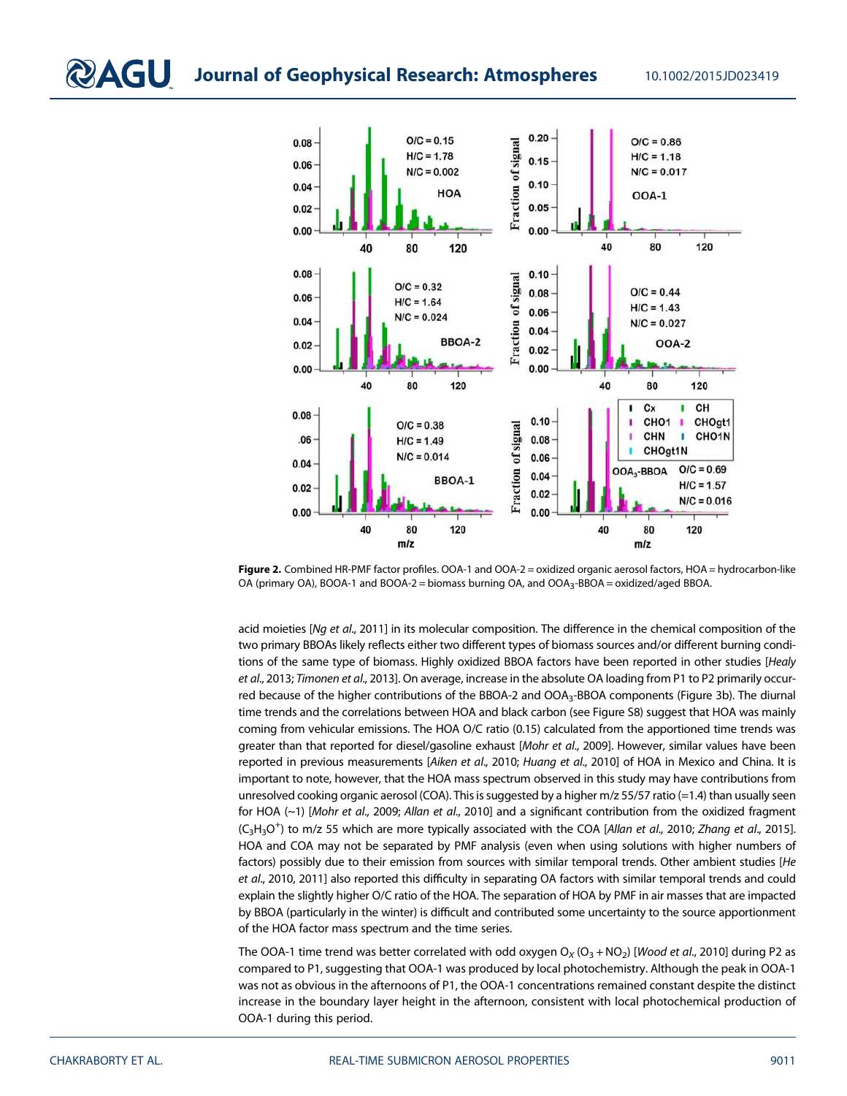

Figure 2. Combined HR-PMF factor profiles. OOA-1 and OOA-2 = oxidized organic aerosol factors, HOA = hydrocarbon-like OA (primary OA), BOOA-1 and BOOA-2 = biomass burning OA, and OOA<sub>3</sub>-BBOA = oxidized/aged BBOA.

acid moieties [*Ng et al*., 2011] in its molecular composition. The difference in the chemical composition of the two primary BBOAs likely reflects either two different types of biomass sources and/or different burning conditions of the same type of biomass. Highly oxidized BBOA factors have been reported in other studies [*Healy et al*., 2013; *Timonen et al*., 2013]. On average, increase in the absolute OA loading from P1 to P2 primarily occurred because of the higher contributions of the BBOA-2 and OOA<sub>3</sub>-BBOA components (Figure 3b). The diurnal time trends and the correlations between HOA and black carbon (see Figure S8) suggest that HOA was mainly coming from vehicular emissions. The HOA O/C ratio (0.15) calculated from the apportioned time trends was greater than that reported for diesel/gasoline exhaust [*Mohr et al*., 2009]. However, similar values have been reported in previous measurements [*Aiken et al*., 2010; *Huang et al*., 2010] of HOA in Mexico and China. It is important to note, however, that the HOA mass spectrum observed in this study may have contributions from unresolved cooking organic aerosol (COA). This is suggested by a higher m/z 55/57 ratio (=1.4) than usually seen for HOA (~1) [*Mohr et al*., 2009; *Allan et al*., 2010] and a significant contribution from the oxidized fragment (C3H3O + ) to m/z 55 which are more typically associated with the COA [*Allan et al*., 2010; *Zhang et al*., 2015]. HOA and COA may not be separated by PMF analysis (even when using solutions with higher numbers of factors) possibly due to their emission from sources with similar temporal trends. Other ambient studies [*He et al*., 2010, 2011] also reported this difficulty in separating OA factors with similar temporal trends and could explain the slightly higher O/C ratio of the HOA. The separation of HOA by PMF in air masses that are impacted by BBOA (particularly in the winter) is difficult and contributed some uncertainty to the source apportionment of the HOA factor mass spectrum and the time series.

The OOA-1 time trend was better correlated with odd oxygen  $O_X (O_3 + NO_2)$  [*Wood et al.*, 2010] during P2 as compared to P1, suggesting that OOA-1 was produced by local photochemistry. Although the peak in OOA-1 was not as obvious in the afternoons of P1, the OOA-1 concentrations remained constant despite the distinct increase in the boundary layer height in the afternoon, consistent with local photochemical production of OOA-1 during this period.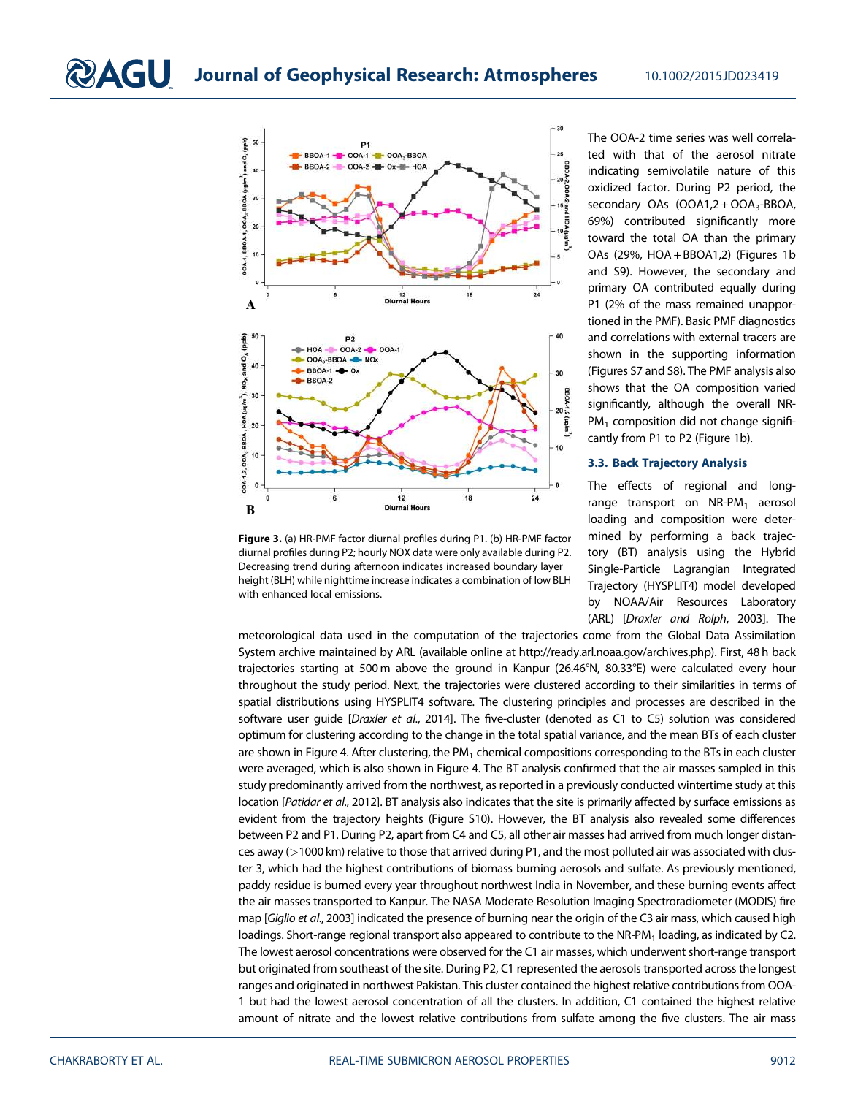

Figure 3. (a) HR-PMF factor diurnal profiles during P1. (b) HR-PMF factor diurnal profiles during P2; hourly NOX data were only available during P2. Decreasing trend during afternoon indicates increased boundary layer height (BLH) while nighttime increase indicates a combination of low BLH with enhanced local emissions.

The OOA-2 time series was well correlated with that of the aerosol nitrate indicating semivolatile nature of this oxidized factor. During P2 period, the secondary OAs (OOA1,2 + OOA<sub>3</sub>-BBOA, 69%) contributed significantly more toward the total OA than the primary OAs (29%, HOA + BBOA1,2) (Figures 1b and S9). However, the secondary and primary OA contributed equally during P1 (2% of the mass remained unapportioned in the PMF). Basic PMF diagnostics and correlations with external tracers are shown in the supporting information (Figures S7 and S8). The PMF analysis also shows that the OA composition varied significantly, although the overall NR- $PM<sub>1</sub>$  composition did not change significantly from P1 to P2 (Figure 1b).

#### 3.3. Back Trajectory Analysis

The effects of regional and longrange transport on  $NR$ -PM<sub>1</sub> aerosol loading and composition were determined by performing a back trajectory (BT) analysis using the Hybrid Single-Particle Lagrangian Integrated Trajectory (HYSPLIT4) model developed by NOAA/Air Resources Laboratory (ARL) [*Draxler and Rolph*, 2003]. The

meteorological data used in the computation of the trajectories come from the Global Data Assimilation System archive maintained by ARL (available online at http://ready.arl.noaa.gov/archives.php). First, 48 h back trajectories starting at 500 m above the ground in Kanpur (26.46°N, 80.33°E) were calculated every hour throughout the study period. Next, the trajectories were clustered according to their similarities in terms of spatial distributions using HYSPLIT4 software. The clustering principles and processes are described in the software user guide [*Draxler et al*., 2014]. The five-cluster (denoted as C1 to C5) solution was considered optimum for clustering according to the change in the total spatial variance, and the mean BTs of each cluster are shown in Figure 4. After clustering, the PM<sub>1</sub> chemical compositions corresponding to the BTs in each cluster were averaged, which is also shown in Figure 4. The BT analysis confirmed that the air masses sampled in this study predominantly arrived from the northwest, as reported in a previously conducted wintertime study at this location [*Patidar et al*., 2012]. BT analysis also indicates that the site is primarily affected by surface emissions as evident from the trajectory heights (Figure S10). However, the BT analysis also revealed some differences between P2 and P1. During P2, apart from C4 and C5, all other air masses had arrived from much longer distances away (>1000 km) relative to those that arrived during P1, and the most polluted air was associated with cluster 3, which had the highest contributions of biomass burning aerosols and sulfate. As previously mentioned, paddy residue is burned every year throughout northwest India in November, and these burning events affect the air masses transported to Kanpur. The NASA Moderate Resolution Imaging Spectroradiometer (MODIS) fire map [*Giglio et al*., 2003] indicated the presence of burning near the origin of the C3 air mass, which caused high loadings. Short-range regional transport also appeared to contribute to the NR-PM<sub>1</sub> loading, as indicated by C2. The lowest aerosol concentrations were observed for the C1 air masses, which underwent short-range transport but originated from southeast of the site. During P2, C1 represented the aerosols transported across the longest ranges and originated in northwest Pakistan. This cluster contained the highest relative contributions from OOA-1 but had the lowest aerosol concentration of all the clusters. In addition, C1 contained the highest relative amount of nitrate and the lowest relative contributions from sulfate among the five clusters. The air mass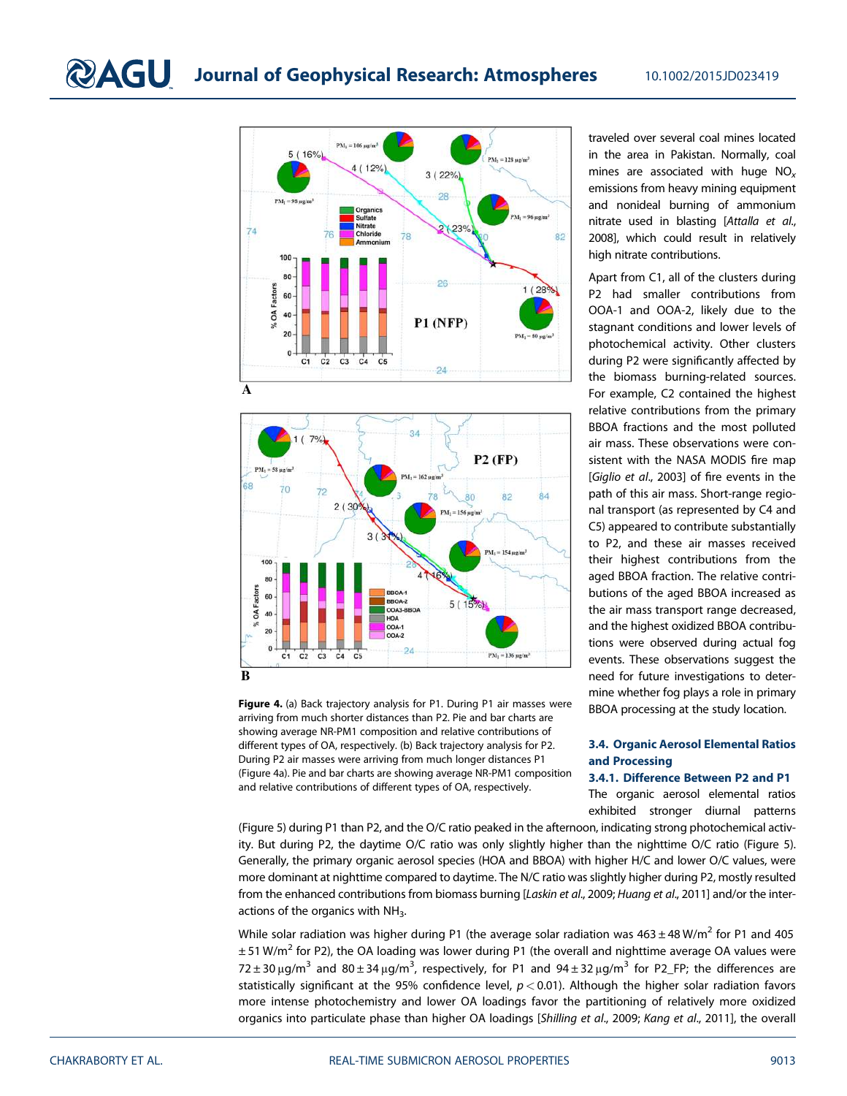



Figure 4. (a) Back trajectory analysis for P1. During P1 air masses were arriving from much shorter distances than P2. Pie and bar charts are showing average NR-PM1 composition and relative contributions of different types of OA, respectively. (b) Back trajectory analysis for P2. During P2 air masses were arriving from much longer distances P1 (Figure 4a). Pie and bar charts are showing average NR-PM1 composition and relative contributions of different types of OA, respectively.

traveled over several coal mines located in the area in Pakistan. Normally, coal mines are associated with huge NO*<sup>x</sup>* emissions from heavy mining equipment and nonideal burning of ammonium nitrate used in blasting [*Attalla et al*., 2008], which could result in relatively high nitrate contributions.

Apart from C1, all of the clusters during P2 had smaller contributions from OOA-1 and OOA-2, likely due to the stagnant conditions and lower levels of photochemical activity. Other clusters during P2 were significantly affected by the biomass burning-related sources. For example, C2 contained the highest relative contributions from the primary BBOA fractions and the most polluted air mass. These observations were consistent with the NASA MODIS fire map [*Giglio et al*., 2003] of fire events in the path of this air mass. Short-range regional transport (as represented by C4 and C5) appeared to contribute substantially to P2, and these air masses received their highest contributions from the aged BBOA fraction. The relative contributions of the aged BBOA increased as the air mass transport range decreased, and the highest oxidized BBOA contributions were observed during actual fog events. These observations suggest the need for future investigations to determine whether fog plays a role in primary BBOA processing at the study location.

#### 3.4. Organic Aerosol Elemental Ratios and Processing

#### 3.4.1. Difference Between P2 and P1

The organic aerosol elemental ratios exhibited stronger diurnal patterns

(Figure 5) during P1 than P2, and the O/C ratio peaked in the afternoon, indicating strong photochemical activity. But during P2, the daytime O/C ratio was only slightly higher than the nighttime O/C ratio (Figure 5). Generally, the primary organic aerosol species (HOA and BBOA) with higher H/C and lower O/C values, were more dominant at nighttime compared to daytime. The N/C ratio was slightly higher during P2, mostly resulted from the enhanced contributions from biomass burning [*Laskin et al*., 2009; *Huang et al*., 2011] and/or the interactions of the organics with NH<sub>3</sub>.

While solar radiation was higher during P1 (the average solar radiation was 463  $\pm$  48 W/m $^2$  for P1 and 405  $\pm$  51 W/m<sup>2</sup> for P2), the OA loading was lower during P1 (the overall and nighttime average OA values were 72 ± 30 μg/m<sup>3</sup> and 80 ± 34 μg/m<sup>3</sup>, respectively, for P1 and 94 ± 32 μg/m<sup>3</sup> for P2\_FP; the differences are statistically significant at the 95% confidence level, *p* < 0.01). Although the higher solar radiation favors more intense photochemistry and lower OA loadings favor the partitioning of relatively more oxidized organics into particulate phase than higher OA loadings [*Shilling et al*., 2009; *Kang et al*., 2011], the overall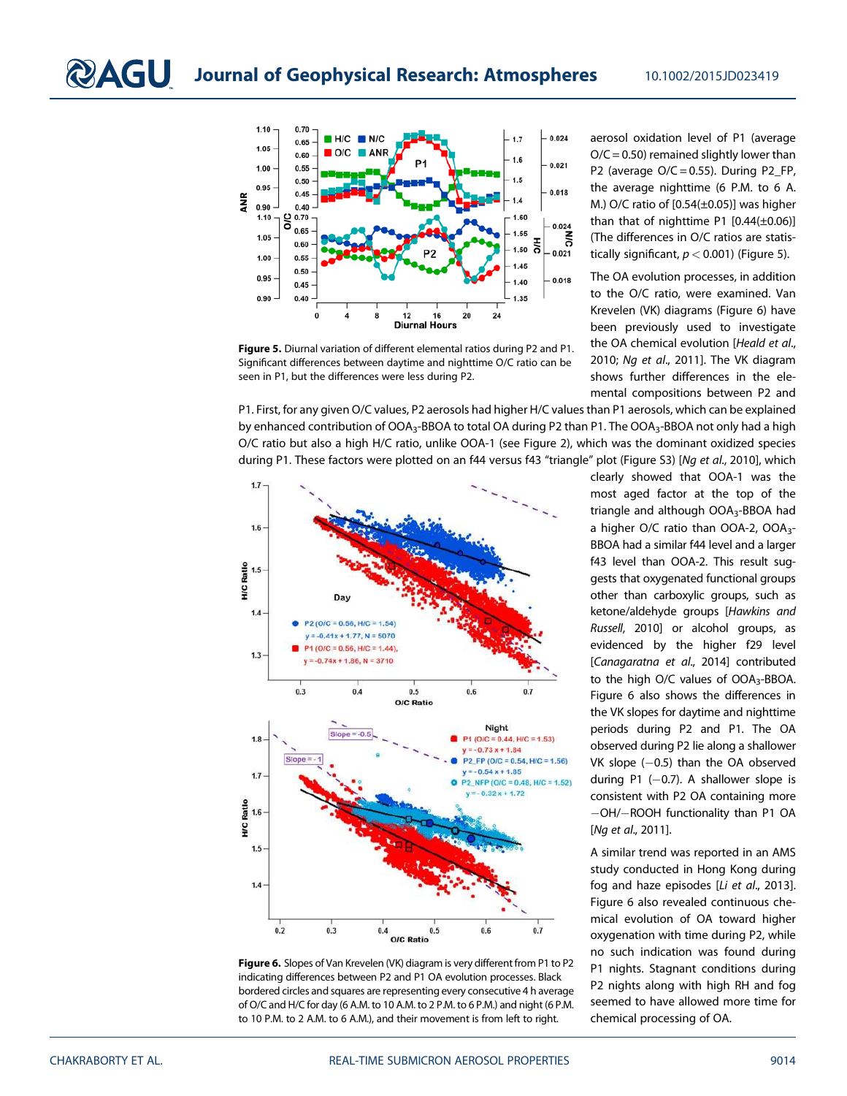

Figure 5. Diurnal variation of different elemental ratios during P2 and P1. Significant differences between daytime and nighttime O/C ratio can be seen in P1, but the differences were less during P2.

aerosol oxidation level of P1 (average  $O/C = 0.50$ ) remained slightly lower than P2 (average  $O/C = 0.55$ ). During P2\_FP, the average nighttime (6 P.M. to 6 A. M.) O/C ratio of [0.54(±0.05)] was higher than that of nighttime P1  $[0.44(\pm 0.06)]$ (The differences in O/C ratios are statistically significant,  $p < 0.001$ ) (Figure 5).

The OA evolution processes, in addition to the O/C ratio, were examined. Van Krevelen (VK) diagrams (Figure 6) have been previously used to investigate the OA chemical evolution [*Heald et al*., 2010; *Ng et al*., 2011]. The VK diagram shows further differences in the elemental compositions between P2 and

P1. First, for any given O/C values, P2 aerosols had higher H/C values than P1 aerosols, which can be explained by enhanced contribution of OOA<sub>3</sub>-BBOA to total OA during P2 than P1. The OOA<sub>3</sub>-BBOA not only had a high O/C ratio but also a high H/C ratio, unlike OOA-1 (see Figure 2), which was the dominant oxidized species during P1. These factors were plotted on an f44 versus f43 "triangle" plot (Figure S3) [*Ng et al*., 2010], which



Figure 6. Slopes of Van Krevelen (VK) diagram is very different from P1 to P2 indicating differences between P2 and P1 OA evolution processes. Black bordered circles and squares are representing every consecutive 4 h average of O/C and H/C for day (6 A.M. to 10 A.M. to 2 P.M. to 6 P.M.) and night (6 P.M. to 10 P.M. to 2 A.M. to 6 A.M.), and their movement is from left to right.

clearly showed that OOA-1 was the most aged factor at the top of the triangle and although OOA<sub>3</sub>-BBOA had a higher O/C ratio than OOA-2, OOA<sub>3</sub>-BBOA had a similar f44 level and a larger f43 level than OOA-2. This result suggests that oxygenated functional groups other than carboxylic groups, such as ketone/aldehyde groups [*Hawkins and Russell*, 2010] or alcohol groups, as evidenced by the higher f29 level [*Canagaratna et al*., 2014] contributed to the high O/C values of  $OOA<sub>3</sub>$ -BBOA. Figure 6 also shows the differences in the VK slopes for daytime and nighttime periods during P2 and P1. The OA observed during P2 lie along a shallower  $VK$  slope  $(-0.5)$  than the OA observed during  $P1$  (-0.7). A shallower slope is consistent with P2 OA containing more -OH/-ROOH functionality than P1 OA [*Ng et al*., 2011].

A similar trend was reported in an AMS study conducted in Hong Kong during fog and haze episodes [*Li et al*., 2013]. Figure 6 also revealed continuous chemical evolution of OA toward higher oxygenation with time during P2, while no such indication was found during P1 nights. Stagnant conditions during P2 nights along with high RH and fog seemed to have allowed more time for chemical processing of OA.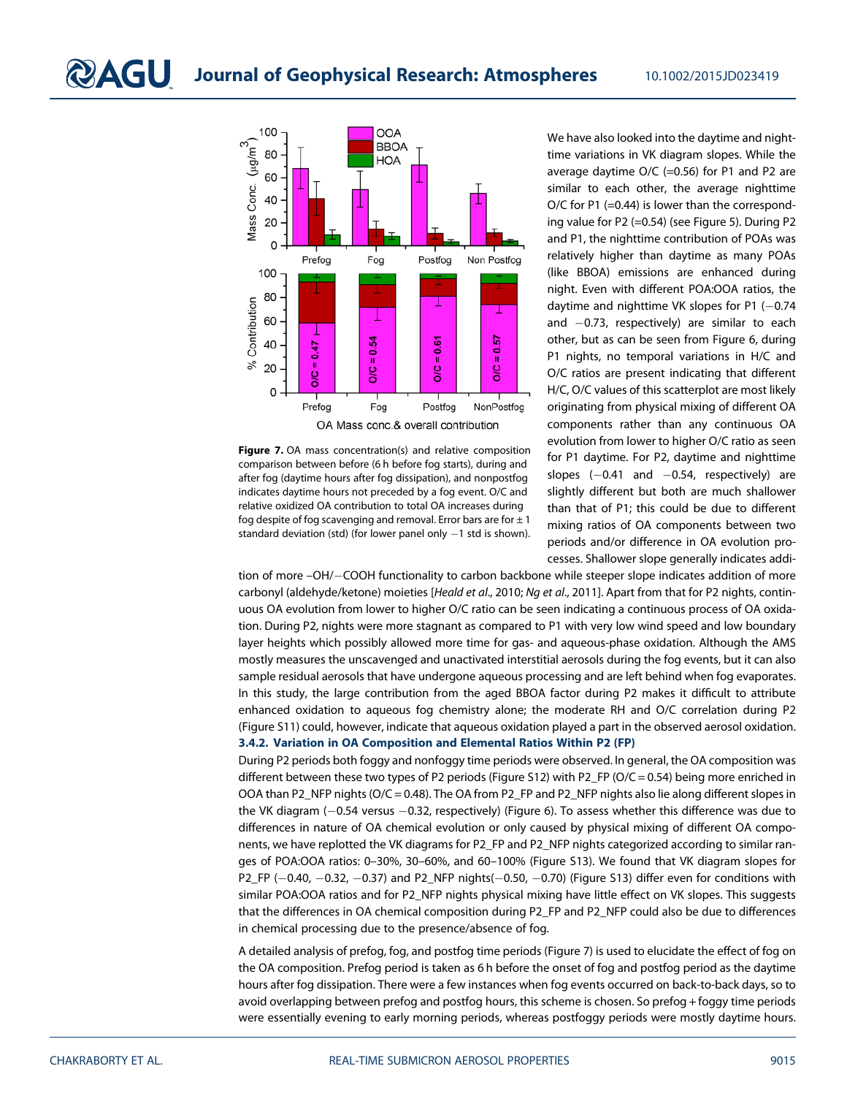

Figure 7. OA mass concentration(s) and relative composition comparison between before (6 h before fog starts), during and after fog (daytime hours after fog dissipation), and nonpostfog indicates daytime hours not preceded by a fog event. O/C and relative oxidized OA contribution to total OA increases during fog despite of fog scavenging and removal. Error bars are for  $\pm 1$ standard deviation (std) (for lower panel only  $-1$  std is shown).

We have also looked into the daytime and nighttime variations in VK diagram slopes. While the average daytime O/C (=0.56) for P1 and P2 are similar to each other, the average nighttime O/C for P1 (=0.44) is lower than the corresponding value for P2 (=0.54) (see Figure 5). During P2 and P1, the nighttime contribution of POAs was relatively higher than daytime as many POAs (like BBOA) emissions are enhanced during night. Even with different POA:OOA ratios, the daytime and nighttime VK slopes for P1  $(-0.74)$ and -0.73, respectively) are similar to each other, but as can be seen from Figure 6, during P1 nights, no temporal variations in H/C and O/C ratios are present indicating that different H/C, O/C values of this scatterplot are most likely originating from physical mixing of different OA components rather than any continuous OA evolution from lower to higher O/C ratio as seen for P1 daytime. For P2, daytime and nighttime  $slopes$   $(-0.41$  and  $-0.54$ , respectively) are slightly different but both are much shallower than that of P1; this could be due to different mixing ratios of OA components between two periods and/or difference in OA evolution processes. Shallower slope generally indicates addi-

tion of more -OH/-COOH functionality to carbon backbone while steeper slope indicates addition of more carbonyl (aldehyde/ketone) moieties [*Heald et al*., 2010; *Ng et al*., 2011]. Apart from that for P2 nights, continuous OA evolution from lower to higher O/C ratio can be seen indicating a continuous process of OA oxidation. During P2, nights were more stagnant as compared to P1 with very low wind speed and low boundary layer heights which possibly allowed more time for gas- and aqueous-phase oxidation. Although the AMS mostly measures the unscavenged and unactivated interstitial aerosols during the fog events, but it can also sample residual aerosols that have undergone aqueous processing and are left behind when fog evaporates. In this study, the large contribution from the aged BBOA factor during P2 makes it difficult to attribute enhanced oxidation to aqueous fog chemistry alone; the moderate RH and O/C correlation during P2 (Figure S11) could, however, indicate that aqueous oxidation played a part in the observed aerosol oxidation. 3.4.2. Variation in OA Composition and Elemental Ratios Within P2 (FP)

During P2 periods both foggy and nonfoggy time periods were observed. In general, the OA composition was different between these two types of P2 periods (Figure S12) with P2\_FP (O/C = 0.54) being more enriched in OOA than P2\_NFP nights (O/C = 0.48). The OA from P2\_FP and P2\_NFP nights also lie along different slopes in the VK diagram (—0.54 versus —0.32, respectively) (Figure 6). To assess whether this difference was due to differences in nature of OA chemical evolution or only caused by physical mixing of different OA components, we have replotted the VK diagrams for P2\_FP and P2\_NFP nights categorized according to similar ranges of POA:OOA ratios: 0–30%, 30–60%, and 60–100% (Figure S13). We found that VK diagram slopes for P2\_FP (-0.40, -0.32, -0.37) and P2\_NFP nights(-0.50, -0.70) (Figure S13) differ even for conditions with similar POA:OOA ratios and for P2\_NFP nights physical mixing have little effect on VK slopes. This suggests that the differences in OA chemical composition during P2\_FP and P2\_NFP could also be due to differences in chemical processing due to the presence/absence of fog.

A detailed analysis of prefog, fog, and postfog time periods (Figure 7) is used to elucidate the effect of fog on the OA composition. Prefog period is taken as 6 h before the onset of fog and postfog period as the daytime hours after fog dissipation. There were a few instances when fog events occurred on back-to-back days, so to avoid overlapping between prefog and postfog hours, this scheme is chosen. So prefog + foggy time periods were essentially evening to early morning periods, whereas postfoggy periods were mostly daytime hours.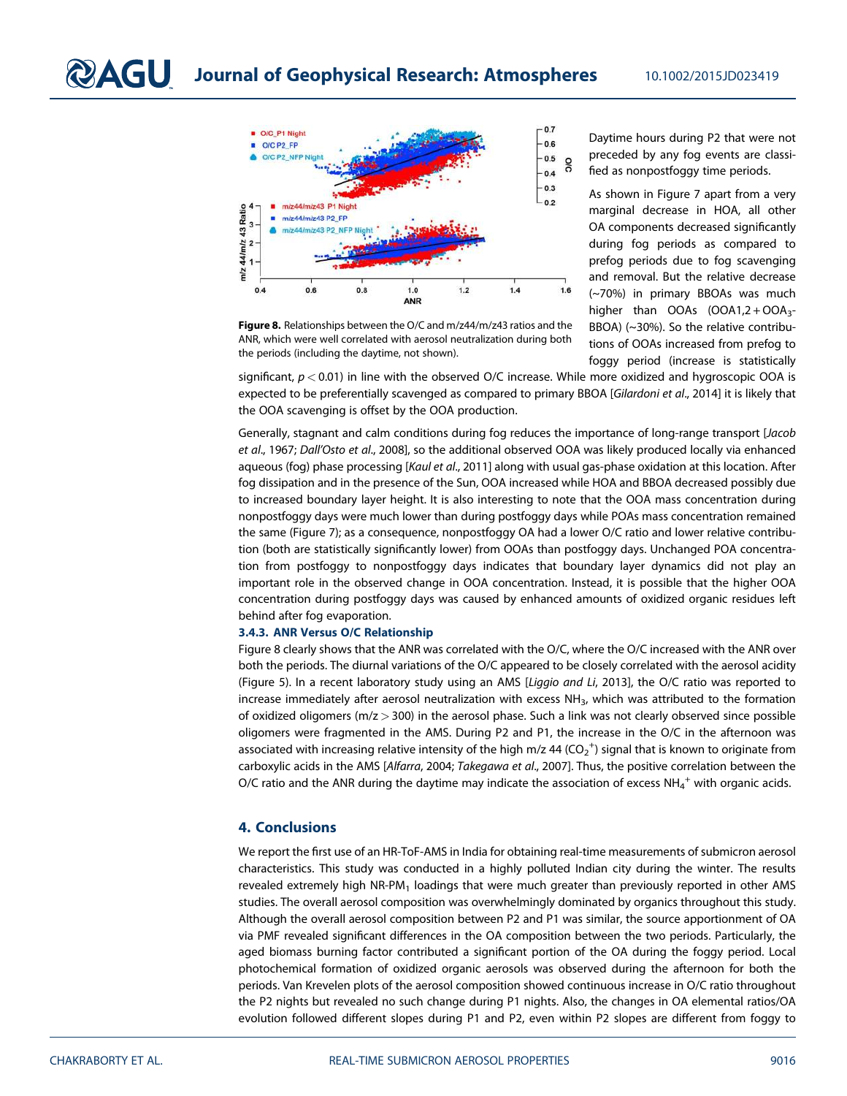

Figure 8. Relationships between the O/C and m/z44/m/z43 ratios and the ANR, which were well correlated with aerosol neutralization during both the periods (including the daytime, not shown).

Daytime hours during P2 that were not preceded by any fog events are classified as nonpostfoggy time periods.

As shown in Figure 7 apart from a very marginal decrease in HOA, all other OA components decreased significantly during fog periods as compared to prefog periods due to fog scavenging and removal. But the relative decrease (~70%) in primary BBOAs was much higher than  $OOAs$   $(OOA1,2 + OOA3 -$ BBOA) (~30%). So the relative contributions of OOAs increased from prefog to foggy period (increase is statistically

significant, *p* < 0.01) in line with the observed O/C increase. While more oxidized and hygroscopic OOA is expected to be preferentially scavenged as compared to primary BBOA [*Gilardoni et al*., 2014] it is likely that the OOA scavenging is offset by the OOA production.

Generally, stagnant and calm conditions during fog reduces the importance of long-range transport [*Jacob et al*., 1967; *Dall*'*Osto et al*., 2008], so the additional observed OOA was likely produced locally via enhanced aqueous (fog) phase processing [*Kaul et al*., 2011] along with usual gas-phase oxidation at this location. After fog dissipation and in the presence of the Sun, OOA increased while HOA and BBOA decreased possibly due to increased boundary layer height. It is also interesting to note that the OOA mass concentration during nonpostfoggy days were much lower than during postfoggy days while POAs mass concentration remained the same (Figure 7); as a consequence, nonpostfoggy OA had a lower O/C ratio and lower relative contribution (both are statistically significantly lower) from OOAs than postfoggy days. Unchanged POA concentration from postfoggy to nonpostfoggy days indicates that boundary layer dynamics did not play an important role in the observed change in OOA concentration. Instead, it is possible that the higher OOA concentration during postfoggy days was caused by enhanced amounts of oxidized organic residues left behind after fog evaporation.

#### 3.4.3. ANR Versus O/C Relationship

Figure 8 clearly shows that the ANR was correlated with the O/C, where the O/C increased with the ANR over both the periods. The diurnal variations of the O/C appeared to be closely correlated with the aerosol acidity (Figure 5). In a recent laboratory study using an AMS [*Liggio and Li*, 2013], the O/C ratio was reported to increase immediately after aerosol neutralization with excess NH<sub>3</sub>, which was attributed to the formation of oxidized oligomers ( $m/z > 300$ ) in the aerosol phase. Such a link was not clearly observed since possible oligomers were fragmented in the AMS. During P2 and P1, the increase in the O/C in the afternoon was associated with increasing relative intensity of the high m/z 44 (CO $_2^{\rm +}$ ) signal that is known to originate from carboxylic acids in the AMS [*Alfarra*, 2004; *Takegawa et al*., 2007]. Thus, the positive correlation between the O/C ratio and the ANR during the daytime may indicate the association of excess NH $_4^+$  with organic acids.

#### 4. Conclusions

We report the first use of an HR-ToF-AMS in India for obtaining real-time measurements of submicron aerosol characteristics. This study was conducted in a highly polluted Indian city during the winter. The results revealed extremely high NR-PM<sub>1</sub> loadings that were much greater than previously reported in other AMS studies. The overall aerosol composition was overwhelmingly dominated by organics throughout this study. Although the overall aerosol composition between P2 and P1 was similar, the source apportionment of OA via PMF revealed significant differences in the OA composition between the two periods. Particularly, the aged biomass burning factor contributed a significant portion of the OA during the foggy period. Local photochemical formation of oxidized organic aerosols was observed during the afternoon for both the periods. Van Krevelen plots of the aerosol composition showed continuous increase in O/C ratio throughout the P2 nights but revealed no such change during P1 nights. Also, the changes in OA elemental ratios/OA evolution followed different slopes during P1 and P2, even within P2 slopes are different from foggy to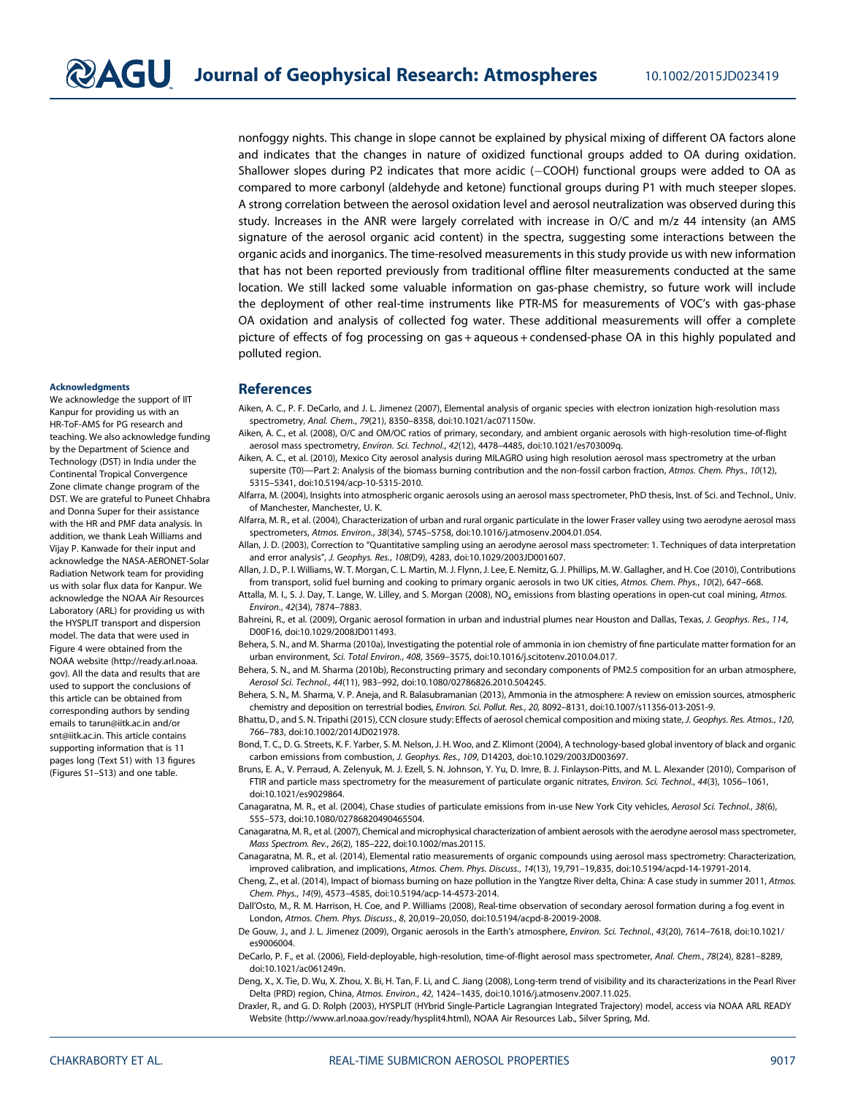nonfoggy nights. This change in slope cannot be explained by physical mixing of different OA factors alone and indicates that the changes in nature of oxidized functional groups added to OA during oxidation. Shallower slopes during P2 indicates that more acidic (-COOH) functional groups were added to OA as compared to more carbonyl (aldehyde and ketone) functional groups during P1 with much steeper slopes. A strong correlation between the aerosol oxidation level and aerosol neutralization was observed during this study. Increases in the ANR were largely correlated with increase in O/C and m/z 44 intensity (an AMS signature of the aerosol organic acid content) in the spectra, suggesting some interactions between the organic acids and inorganics. The time-resolved measurements in this study provide us with new information that has not been reported previously from traditional offline filter measurements conducted at the same location. We still lacked some valuable information on gas-phase chemistry, so future work will include the deployment of other real-time instruments like PTR-MS for measurements of VOC's with gas-phase OA oxidation and analysis of collected fog water. These additional measurements will offer a complete picture of effects of fog processing on gas + aqueous + condensed-phase OA in this highly populated and polluted region.

#### Acknowledgments

We acknowledge the support of IIT Kanpur for providing us with an HR-ToF-AMS for PG research and teaching. We also acknowledge funding by the Department of Science and Technology (DST) in India under the Continental Tropical Convergence Zone climate change program of the DST. We are grateful to Puneet Chhabra and Donna Super for their assistance with the HR and PMF data analysis. In addition, we thank Leah Williams and Vijay P. Kanwade for their input and acknowledge the NASA-AERONET-Solar Radiation Network team for providing us with solar flux data for Kanpur. We acknowledge the NOAA Air Resources Laboratory (ARL) for providing us with the HYSPLIT transport and dispersion model. The data that were used in Figure 4 were obtained from the NOAA website (http://ready.arl.noaa. gov). All the data and results that are used to support the conclusions of this article can be obtained from corresponding authors by sending emails to tarun@iitk.ac.in and/or snt@iitk.ac.in. This article contains supporting information that is 11 pages long (Text S1) with 13 figures (Figures S1–S13) and one table.

#### References

- Aiken, A. C., P. F. DeCarlo, and J. L. Jimenez (2007), Elemental analysis of organic species with electron ionization high-resolution mass spectrometry, *Anal. Chem.*, *79*(21), 8350–8358, doi:10.1021/ac071150w.
- Aiken, A. C., et al. (2008), O/C and OM/OC ratios of primary, secondary, and ambient organic aerosols with high-resolution time-of-flight aerosol mass spectrometry, *Environ. Sci. Technol.*, *42*(12), 4478–4485, doi:10.1021/es703009q.
- Aiken, A. C., et al. (2010), Mexico City aerosol analysis during MILAGRO using high resolution aerosol mass spectrometry at the urban supersite (T0)—Part 2: Analysis of the biomass burning contribution and the non-fossil carbon fraction, *Atmos. Chem. Phys.*, *10*(12), 5315–5341, doi:10.5194/acp-10-5315-2010.
- Alfarra, M. (2004), Insights into atmospheric organic aerosols using an aerosol mass spectrometer, PhD thesis, Inst. of Sci. and Technol., Univ. of Manchester, Manchester, U. K.
- Alfarra, M. R., et al. (2004), Characterization of urban and rural organic particulate in the lower Fraser valley using two aerodyne aerosol mass spectrometers, *Atmos. Environ.*, *38*(34), 5745–5758, doi:10.1016/j.atmosenv.2004.01.054.
- Allan, J. D. (2003), Correction to "Quantitative sampling using an aerodyne aerosol mass spectrometer: 1. Techniques of data interpretation and error analysis", *J. Geophys. Res.*, *108*(D9), 4283, doi:10.1029/2003JD001607.
- Allan, J. D., P. I. Williams, W. T. Morgan, C. L. Martin, M. J. Flynn, J. Lee, E. Nemitz, G. J. Phillips, M. W. Gallagher, and H. Coe (2010), Contributions from transport, solid fuel burning and cooking to primary organic aerosols in two UK cities, *Atmos. Chem. Phys.*, *10*(2), 647–668.
- Attalla, M. I., S. J. Day, T. Lange, W. Lilley, and S. Morgan (2008), NO*<sup>x</sup>* emissions from blasting operations in open-cut coal mining, *Atmos. Environ.*, *42*(34), 7874–7883.
- Bahreini, R., et al. (2009), Organic aerosol formation in urban and industrial plumes near Houston and Dallas, Texas, *J. Geophys. Res.*, *114*, D00F16, doi:10.1029/2008JD011493.
- Behera, S. N., and M. Sharma (2010a), Investigating the potential role of ammonia in ion chemistry of fine particulate matter formation for an urban environment, *Sci. Total Environ.*, *408*, 3569–3575, doi:10.1016/j.scitotenv.2010.04.017.
- Behera, S. N., and M. Sharma (2010b), Reconstructing primary and secondary components of PM2.5 composition for an urban atmosphere, *Aerosol Sci. Technol.*, *44*(11), 983–992, doi:10.1080/02786826.2010.504245.
- Behera, S. N., M. Sharma, V. P. Aneja, and R. Balasubramanian (2013), Ammonia in the atmosphere: A review on emission sources, atmospheric chemistry and deposition on terrestrial bodies, *Environ. Sci. Pollut. Res.*, *20*, 8092–8131, doi:10.1007/s11356-013-2051-9.
- Bhattu, D., and S. N. Tripathi (2015), CCN closure study: Effects of aerosol chemical composition and mixing state, *J. Geophys. Res. Atmos.*, *120*, 766–783, doi:10.1002/2014JD021978.
- Bond, T. C., D. G. Streets, K. F. Yarber, S. M. Nelson, J. H. Woo, and Z. Klimont (2004), A technology-based global inventory of black and organic carbon emissions from combustion, *J. Geophys. Res.*, *109*, D14203, doi:10.1029/2003JD003697.
- Bruns, E. A., V. Perraud, A. Zelenyuk, M. J. Ezell, S. N. Johnson, Y. Yu, D. Imre, B. J. Finlayson-Pitts, and M. L. Alexander (2010), Comparison of FTIR and particle mass spectrometry for the measurement of particulate organic nitrates, *Environ. Sci. Technol.*, *44*(3), 1056–1061, doi:10.1021/es9029864.
- Canagaratna, M. R., et al. (2004), Chase studies of particulate emissions from in-use New York City vehicles, *Aerosol Sci. Technol.*, *38*(6), 555–573, doi:10.1080/02786820490465504.
- Canagaratna, M. R., et al. (2007), Chemical and microphysical characterization of ambient aerosols with the aerodyne aerosol mass spectrometer, *Mass Spectrom. Rev.*, *26*(2), 185–222, doi:10.1002/mas.20115.
- Canagaratna, M. R., et al. (2014), Elemental ratio measurements of organic compounds using aerosol mass spectrometry: Characterization, improved calibration, and implications, *Atmos. Chem. Phys. Discuss.*, *14*(13), 19,791–19,835, doi:10.5194/acpd-14-19791-2014.
- Cheng, Z., et al. (2014), Impact of biomass burning on haze pollution in the Yangtze River delta, China: A case study in summer 2011, *Atmos. Chem. Phys.*, *14*(9), 4573–4585, doi:10.5194/acp-14-4573-2014.
- Dall'Osto, M., R. M. Harrison, H. Coe, and P. Williams (2008), Real-time observation of secondary aerosol formation during a fog event in London, *Atmos. Chem. Phys. Discuss.*, *8*, 20,019–20,050, doi:10.5194/acpd-8-20019-2008.
- De Gouw, J., and J. L. Jimenez (2009), Organic aerosols in the Earth's atmosphere, *Environ. Sci. Technol.*, *43*(20), 7614–7618, doi:10.1021/ es9006004.
- DeCarlo, P. F., et al. (2006), Field-deployable, high-resolution, time-of-flight aerosol mass spectrometer, *Anal. Chem.*, *78*(24), 8281–8289, doi:10.1021/ac061249n.
- Deng, X., X. Tie, D. Wu, X. Zhou, X. Bi, H. Tan, F. Li, and C. Jiang (2008), Long-term trend of visibility and its characterizations in the Pearl River Delta (PRD) region, China, *Atmos. Environ.*, *42*, 1424–1435, doi:10.1016/j.atmosenv.2007.11.025.
- Draxler, R., and G. D. Rolph (2003), HYSPLIT (HYbrid Single-Particle Lagrangian Integrated Trajectory) model, access via NOAA ARL READY Website (http://www.arl.noaa.gov/ready/hysplit4.html), NOAA Air Resources Lab., Silver Spring, Md.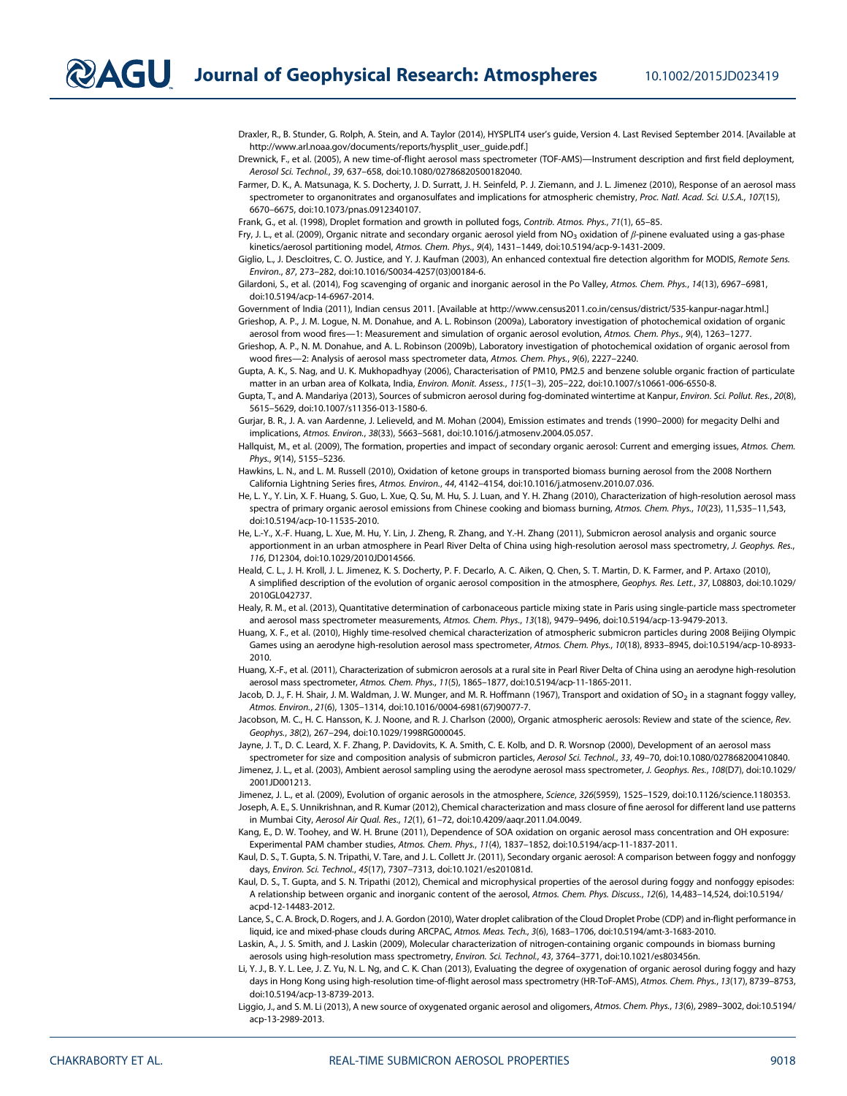$\mathbf{2AGU}$  Journal of Geophysical Research: Atmospheres 10.1002/2015JD023419

Draxler, R., B. Stunder, G. Rolph, A. Stein, and A. Taylor (2014), HYSPLIT4 user's guide, Version 4. Last Revised September 2014. [Available at http://www.arl.noaa.gov/documents/reports/hysplit\_user\_guide.pdf.]

Drewnick, F., et al. (2005), A new time-of-flight aerosol mass spectrometer (TOF-AMS)—Instrument description and first field deployment, *Aerosol Sci. Technol.*, *39*, 637–658, doi:10.1080/02786820500182040.

Farmer, D. K., A. Matsunaga, K. S. Docherty, J. D. Surratt, J. H. Seinfeld, P. J. Ziemann, and J. L. Jimenez (2010), Response of an aerosol mass spectrometer to organonitrates and organosulfates and implications for atmospheric chemistry, *Proc. Natl. Acad. Sci. U.S.A.*, *107*(15), 6670–6675, doi:10.1073/pnas.0912340107.

Frank, G., et al. (1998), Droplet formation and growth in polluted fogs, *Contrib. Atmos. Phys.*, *71*(1), 65–85.

Fry, J. L., et al. (2009), Organic nitrate and secondary organic aerosol yield from NO3 oxidation of β-pinene evaluated using a gas-phase kinetics/aerosol partitioning model, *Atmos. Chem. Phys.*, *9*(4), 1431–1449, doi:10.5194/acp-9-1431-2009.

Giglio, L., J. Descloitres, C. O. Justice, and Y. J. Kaufman (2003), An enhanced contextual fire detection algorithm for MODIS, *Remote Sens. Environ.*, *87*, 273–282, doi:10.1016/S0034-4257(03)00184-6.

Gilardoni, S., et al. (2014), Fog scavenging of organic and inorganic aerosol in the Po Valley, *Atmos. Chem. Phys.*, *14*(13), 6967–6981, doi:10.5194/acp-14-6967-2014.

Government of India (2011), Indian census 2011. [Available at http://www.census2011.co.in/census/district/535-kanpur-nagar.html.]

Grieshop, A. P., J. M. Logue, N. M. Donahue, and A. L. Robinson (2009a), Laboratory investigation of photochemical oxidation of organic aerosol from wood fires—1: Measurement and simulation of organic aerosol evolution, *Atmos. Chem. Phys.*, *9*(4), 1263–1277.

Grieshop, A. P., N. M. Donahue, and A. L. Robinson (2009b), Laboratory investigation of photochemical oxidation of organic aerosol from wood fires—2: Analysis of aerosol mass spectrometer data, *Atmos. Chem. Phys.*, *9*(6), 2227–2240.

Gupta, A. K., S. Nag, and U. K. Mukhopadhyay (2006), Characterisation of PM10, PM2.5 and benzene soluble organic fraction of particulate matter in an urban area of Kolkata, India, *Environ. Monit. Assess.*, *115*(1–3), 205–222, doi:10.1007/s10661-006-6550-8.

Gupta, T., and A. Mandariya (2013), Sources of submicron aerosol during fog-dominated wintertime at Kanpur, *Environ. Sci. Pollut. Res.*, *20*(8), 5615–5629, doi:10.1007/s11356-013-1580-6.

Gurjar, B. R., J. A. van Aardenne, J. Lelieveld, and M. Mohan (2004), Emission estimates and trends (1990–2000) for megacity Delhi and implications, *Atmos. Environ.*, *38*(33), 5663–5681, doi:10.1016/j.atmosenv.2004.05.057.

Hallquist, M., et al. (2009), The formation, properties and impact of secondary organic aerosol: Current and emerging issues, *Atmos. Chem. Phys.*, *9*(14), 5155–5236.

Hawkins, L. N., and L. M. Russell (2010), Oxidation of ketone groups in transported biomass burning aerosol from the 2008 Northern California Lightning Series fires, *Atmos. Environ.*, *44*, 4142–4154, doi:10.1016/j.atmosenv.2010.07.036.

He, L. Y., Y. Lin, X. F. Huang, S. Guo, L. Xue, Q. Su, M. Hu, S. J. Luan, and Y. H. Zhang (2010), Characterization of high-resolution aerosol mass spectra of primary organic aerosol emissions from Chinese cooking and biomass burning, *Atmos. Chem. Phys.*, *10*(23), 11,535–11,543, doi:10.5194/acp-10-11535-2010.

He, L.-Y., X.-F. Huang, L. Xue, M. Hu, Y. Lin, J. Zheng, R. Zhang, and Y.-H. Zhang (2011), Submicron aerosol analysis and organic source apportionment in an urban atmosphere in Pearl River Delta of China using high-resolution aerosol mass spectrometry, *J. Geophys. Res.*, *116*, D12304, doi:10.1029/2010JD014566.

Heald, C. L., J. H. Kroll, J. L. Jimenez, K. S. Docherty, P. F. Decarlo, A. C. Aiken, Q. Chen, S. T. Martin, D. K. Farmer, and P. Artaxo (2010), A simplified description of the evolution of organic aerosol composition in the atmosphere, *Geophys. Res. Lett.*, *37*, L08803, doi:10.1029/ 2010GL042737.

Healy, R. M., et al. (2013), Quantitative determination of carbonaceous particle mixing state in Paris using single-particle mass spectrometer and aerosol mass spectrometer measurements, *Atmos. Chem. Phys.*, *13*(18), 9479–9496, doi:10.5194/acp-13-9479-2013.

Huang, X. F., et al. (2010), Highly time-resolved chemical characterization of atmospheric submicron particles during 2008 Beijing Olympic Games using an aerodyne high-resolution aerosol mass spectrometer, *Atmos. Chem. Phys.*, *10*(18), 8933–8945, doi:10.5194/acp-10-8933- 2010.

Huang, X.-F., et al. (2011), Characterization of submicron aerosols at a rural site in Pearl River Delta of China using an aerodyne high-resolution aerosol mass spectrometer, *Atmos. Chem. Phys.*, *11*(5), 1865–1877, doi:10.5194/acp-11-1865-2011.

Jacob, D. J., F. H. Shair, J. M. Waldman, J. W. Munger, and M. R. Hoffmann (1967), Transport and oxidation of SO<sub>2</sub> in a stagnant foggy valley, *Atmos. Environ.*, *21*(6), 1305–1314, doi:10.1016/0004-6981(67)90077-7.

Jacobson, M. C., H. C. Hansson, K. J. Noone, and R. J. Charlson (2000), Organic atmospheric aerosols: Review and state of the science, *Rev. Geophys.*, *38*(2), 267–294, doi:10.1029/1998RG000045.

Jayne, J. T., D. C. Leard, X. F. Zhang, P. Davidovits, K. A. Smith, C. E. Kolb, and D. R. Worsnop (2000), Development of an aerosol mass

spectrometer for size and composition analysis of submicron particles, *Aerosol Sci. Technol.*, *33*, 49–70, doi:10.1080/027868200410840. Jimenez, J. L., et al. (2003), Ambient aerosol sampling using the aerodyne aerosol mass spectrometer, *J. Geophys. Res.*, *108*(D7), doi:10.1029/ 2001JD001213.

Jimenez, J. L., et al. (2009), Evolution of organic aerosols in the atmosphere, *Science*, *326*(5959), 1525–1529, doi:10.1126/science.1180353.

Joseph, A. E., S. Unnikrishnan, and R. Kumar (2012), Chemical characterization and mass closure of fine aerosol for different land use patterns in Mumbai City, *Aerosol Air Qual. Res.*, *12*(1), 61–72, doi:10.4209/aaqr.2011.04.0049.

Kang, E., D. W. Toohey, and W. H. Brune (2011), Dependence of SOA oxidation on organic aerosol mass concentration and OH exposure: Experimental PAM chamber studies, *Atmos. Chem. Phys.*, *11*(4), 1837–1852, doi:10.5194/acp-11-1837-2011.

Kaul, D. S., T. Gupta, S. N. Tripathi, V. Tare, and J. L. Collett Jr. (2011), Secondary organic aerosol: A comparison between foggy and nonfoggy days, *Environ. Sci. Technol.*, *45*(17), 7307–7313, doi:10.1021/es201081d.

Kaul, D. S., T. Gupta, and S. N. Tripathi (2012), Chemical and microphysical properties of the aerosol during foggy and nonfoggy episodes: A relationship between organic and inorganic content of the aerosol, *Atmos. Chem. Phys. Discuss.*, *12*(6), 14,483–14,524, doi:10.5194/ acpd-12-14483-2012.

Lance, S., C. A. Brock, D. Rogers, and J. A. Gordon (2010), Water droplet calibration of the Cloud Droplet Probe (CDP) and in-flight performance in liquid, ice and mixed-phase clouds during ARCPAC, *Atmos. Meas. Tech.*, *3*(6), 1683–1706, doi:10.5194/amt-3-1683-2010.

Laskin, A., J. S. Smith, and J. Laskin (2009), Molecular characterization of nitrogen-containing organic compounds in biomass burning aerosols using high-resolution mass spectrometry, *Environ. Sci. Technol.*, *43*, 3764–3771, doi:10.1021/es803456n.

Li, Y. J., B. Y. L. Lee, J. Z. Yu, N. L. Ng, and C. K. Chan (2013), Evaluating the degree of oxygenation of organic aerosol during foggy and hazy days in Hong Kong using high-resolution time-of-flight aerosol mass spectrometry (HR-ToF-AMS), *Atmos. Chem. Phys.*, *13*(17), 8739–8753, doi:10.5194/acp-13-8739-2013.

Liggio, J., and S. M. Li (2013), A new source of oxygenated organic aerosol and oligomers, *Atmos. Chem. Phys.*, *13*(6), 2989–3002, doi:10.5194/ acp-13-2989-2013.